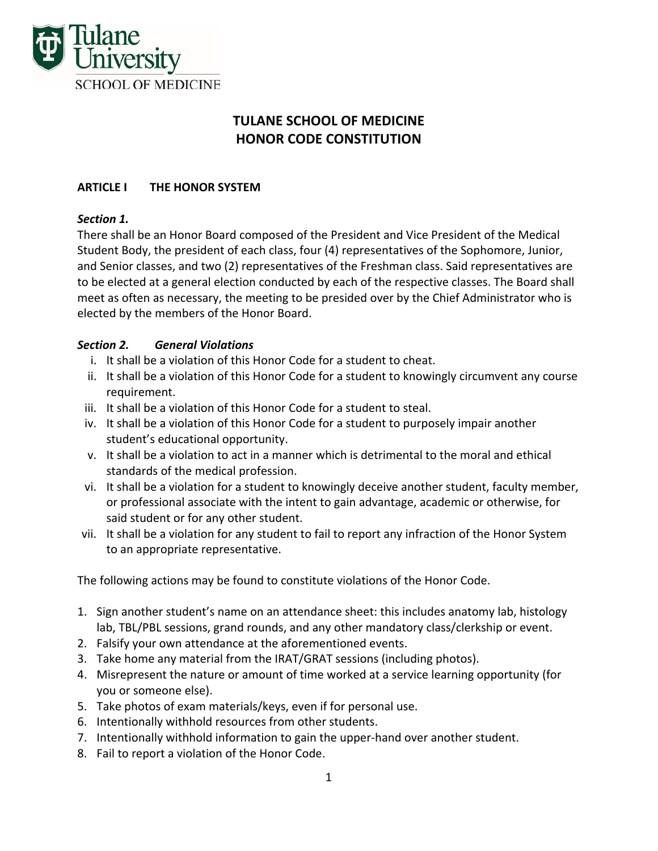

# **TULANE SCHOOL OF MEDICINE HONOR CODE CONSTITUTION**

### **ARTICLE I THE HONOR SYSTEM**

#### *Section 1.*

There shall be an Honor Board composed of the President and Vice President of the Medical Student Body, the president of each class, four (4) representatives of the Sophomore, Junior, and Senior classes, and two (2) representatives of the Freshman class. Said representatives are to be elected at a general election conducted by each of the respective classes. The Board shall meet as often as necessary, the meeting to be presided over by the Chief Administrator who is elected by the members of the Honor Board.

### *Section 2. General Violations*

- i. It shall be a violation of this Honor Code for a student to cheat.
- ii. It shall be a violation of this Honor Code for a student to knowingly circumvent any course requirement.
- iii. It shall be a violation of this Honor Code for a student to steal.
- iv. It shall be a violation of this Honor Code for a student to purposely impair another student's educational opportunity.
- v. It shall be a violation to act in a manner which is detrimental to the moral and ethical standards of the medical profession.
- vi. It shall be a violation for a student to knowingly deceive another student, faculty member, or professional associate with the intent to gain advantage, academic or otherwise, for said student or for any other student.
- vii. It shall be a violation for any student to fail to report any infraction of the Honor System to an appropriate representative.

The following actions may be found to constitute violations of the Honor Code.

- 1. Sign another student's name on an attendance sheet: this includes anatomy lab, histology lab, TBL/PBL sessions, grand rounds, and any other mandatory class/clerkship or event.
- 2. Falsify your own attendance at the aforementioned events.
- 3. Take home any material from the IRAT/GRAT sessions (including photos).
- 4. Misrepresent the nature or amount of time worked at a service learning opportunity (for you or someone else).
- 5. Take photos of exam materials/keys, even if for personal use.
- 6. Intentionally withhold resources from other students.
- 7. Intentionally withhold information to gain the upper‐hand over another student.
- 8. Fail to report a violation of the Honor Code.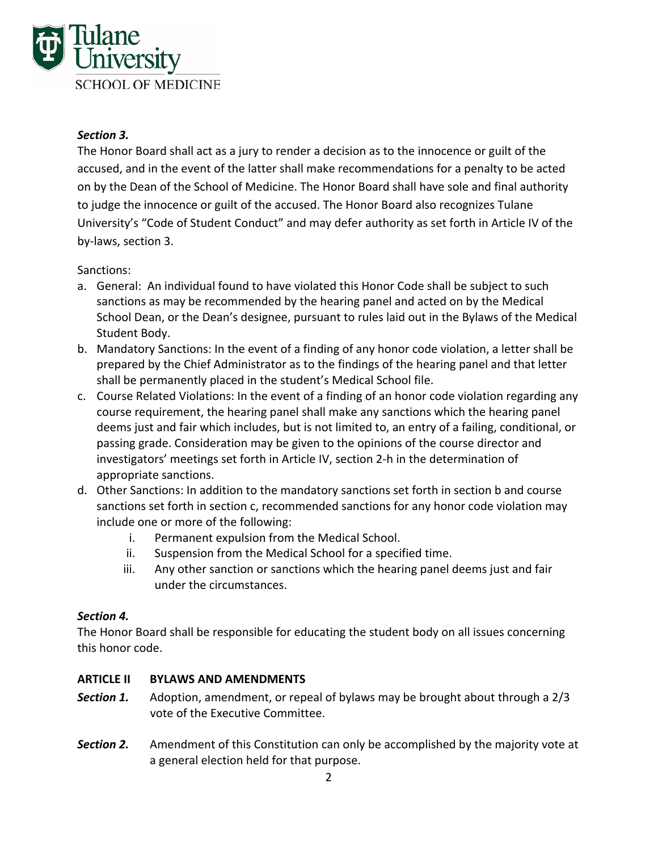

### *Section 3.*

The Honor Board shall act as a jury to render a decision as to the innocence or guilt of the accused, and in the event of the latter shall make recommendations for a penalty to be acted on by the Dean of the School of Medicine. The Honor Board shall have sole and final authority to judge the innocence or guilt of the accused. The Honor Board also recognizes Tulane University's "Code of Student Conduct" and may defer authority as set forth in Article IV of the by‐laws, section 3.

#### Sanctions:

- a. General: An individual found to have violated this Honor Code shall be subject to such sanctions as may be recommended by the hearing panel and acted on by the Medical School Dean, or the Dean's designee, pursuant to rules laid out in the Bylaws of the Medical Student Body.
- b. Mandatory Sanctions: In the event of a finding of any honor code violation, a letter shall be prepared by the Chief Administrator as to the findings of the hearing panel and that letter shall be permanently placed in the student's Medical School file.
- c. Course Related Violations: In the event of a finding of an honor code violation regarding any course requirement, the hearing panel shall make any sanctions which the hearing panel deems just and fair which includes, but is not limited to, an entry of a failing, conditional, or passing grade. Consideration may be given to the opinions of the course director and investigators' meetings set forth in Article IV, section 2‐h in the determination of appropriate sanctions.
- d. Other Sanctions: In addition to the mandatory sanctions set forth in section b and course sanctions set forth in section c, recommended sanctions for any honor code violation may include one or more of the following:
	- i. Permanent expulsion from the Medical School.
	- ii. Suspension from the Medical School for a specified time.
	- iii. Any other sanction or sanctions which the hearing panel deems just and fair under the circumstances.

#### *Section 4.*

The Honor Board shall be responsible for educating the student body on all issues concerning this honor code.

#### **ARTICLE II BYLAWS AND AMENDMENTS**

- **Section 1.** Adoption, amendment, or repeal of bylaws may be brought about through a 2/3 vote of the Executive Committee.
- **Section 2.** Amendment of this Constitution can only be accomplished by the majority vote at a general election held for that purpose.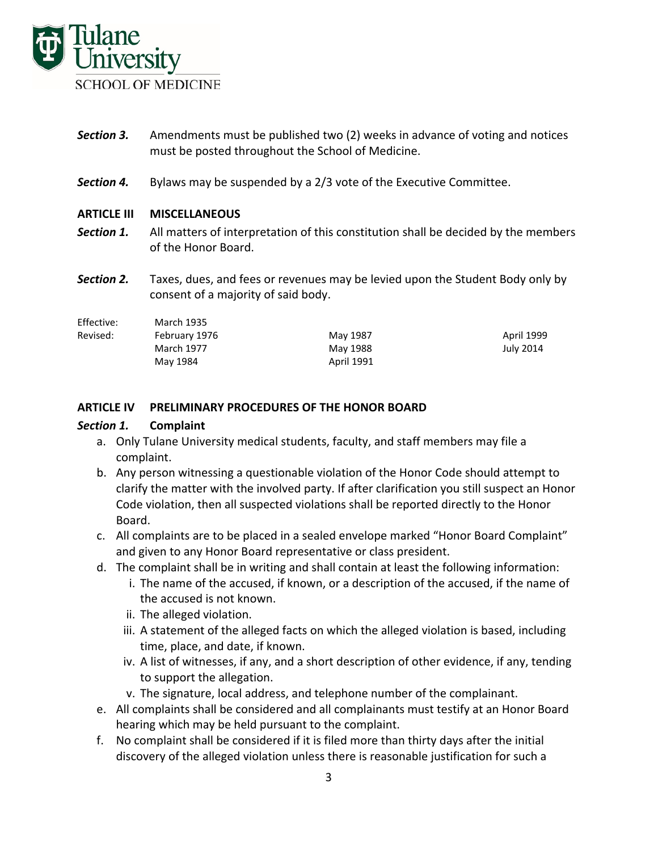

- **Section 3.** Amendments must be published two (2) weeks in advance of voting and notices must be posted throughout the School of Medicine.
- **Section 4.** Bylaws may be suspended by a 2/3 vote of the Executive Committee.

#### **ARTICLE III MISCELLANEOUS**

- **Section 1.** All matters of interpretation of this constitution shall be decided by the members of the Honor Board.
- **Section 2.** Taxes, dues, and fees or revenues may be levied upon the Student Body only by consent of a majority of said body.

| Effective: | March 1935    |            |            |
|------------|---------------|------------|------------|
| Revised:   | February 1976 | May 1987   | April 1999 |
|            | March 1977    | May 1988   | July 2014  |
|            | May 1984      | April 1991 |            |

#### **ARTICLE IV PRELIMINARY PROCEDURES OF THE HONOR BOARD**

#### *Section 1.* **Complaint**

- a. Only Tulane University medical students, faculty, and staff members may file a complaint.
- b. Any person witnessing a questionable violation of the Honor Code should attempt to clarify the matter with the involved party. If after clarification you still suspect an Honor Code violation, then all suspected violations shall be reported directly to the Honor Board.
- c. All complaints are to be placed in a sealed envelope marked "Honor Board Complaint" and given to any Honor Board representative or class president.
- d. The complaint shall be in writing and shall contain at least the following information:
	- i. The name of the accused, if known, or a description of the accused, if the name of the accused is not known.
	- ii. The alleged violation.
	- iii. A statement of the alleged facts on which the alleged violation is based, including time, place, and date, if known.
	- iv. A list of witnesses, if any, and a short description of other evidence, if any, tending to support the allegation.
	- v. The signature, local address, and telephone number of the complainant.
- e. All complaints shall be considered and all complainants must testify at an Honor Board hearing which may be held pursuant to the complaint.
- f. No complaint shall be considered if it is filed more than thirty days after the initial discovery of the alleged violation unless there is reasonable justification for such a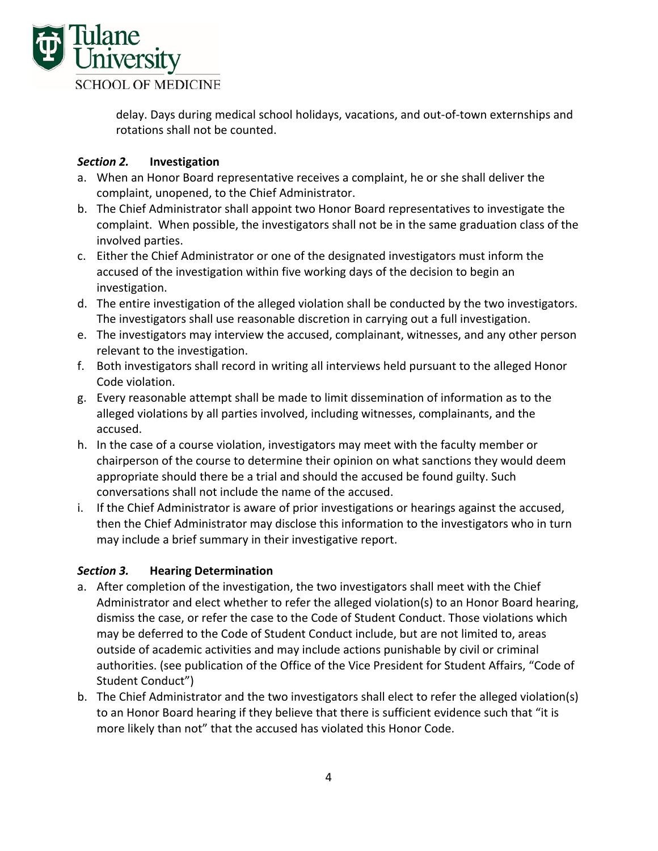

delay. Days during medical school holidays, vacations, and out‐of‐town externships and rotations shall not be counted.

### *Section 2.* **Investigation**

- a. When an Honor Board representative receives a complaint, he or she shall deliver the complaint, unopened, to the Chief Administrator.
- b. The Chief Administrator shall appoint two Honor Board representatives to investigate the complaint. When possible, the investigators shall not be in the same graduation class of the involved parties.
- c. Either the Chief Administrator or one of the designated investigators must inform the accused of the investigation within five working days of the decision to begin an investigation.
- d. The entire investigation of the alleged violation shall be conducted by the two investigators. The investigators shall use reasonable discretion in carrying out a full investigation.
- e. The investigators may interview the accused, complainant, witnesses, and any other person relevant to the investigation.
- f. Both investigators shall record in writing all interviews held pursuant to the alleged Honor Code violation.
- g. Every reasonable attempt shall be made to limit dissemination of information as to the alleged violations by all parties involved, including witnesses, complainants, and the accused.
- h. In the case of a course violation, investigators may meet with the faculty member or chairperson of the course to determine their opinion on what sanctions they would deem appropriate should there be a trial and should the accused be found guilty. Such conversations shall not include the name of the accused.
- i. If the Chief Administrator is aware of prior investigations or hearings against the accused, then the Chief Administrator may disclose this information to the investigators who in turn may include a brief summary in their investigative report.

### *Section 3.*  **Hearing Determination**

- a. After completion of the investigation, the two investigators shall meet with the Chief Administrator and elect whether to refer the alleged violation(s) to an Honor Board hearing, dismiss the case, or refer the case to the Code of Student Conduct. Those violations which may be deferred to the Code of Student Conduct include, but are not limited to, areas outside of academic activities and may include actions punishable by civil or criminal authorities. (see publication of the Office of the Vice President for Student Affairs, "Code of Student Conduct")
- b. The Chief Administrator and the two investigators shall elect to refer the alleged violation(s) to an Honor Board hearing if they believe that there is sufficient evidence such that "it is more likely than not" that the accused has violated this Honor Code.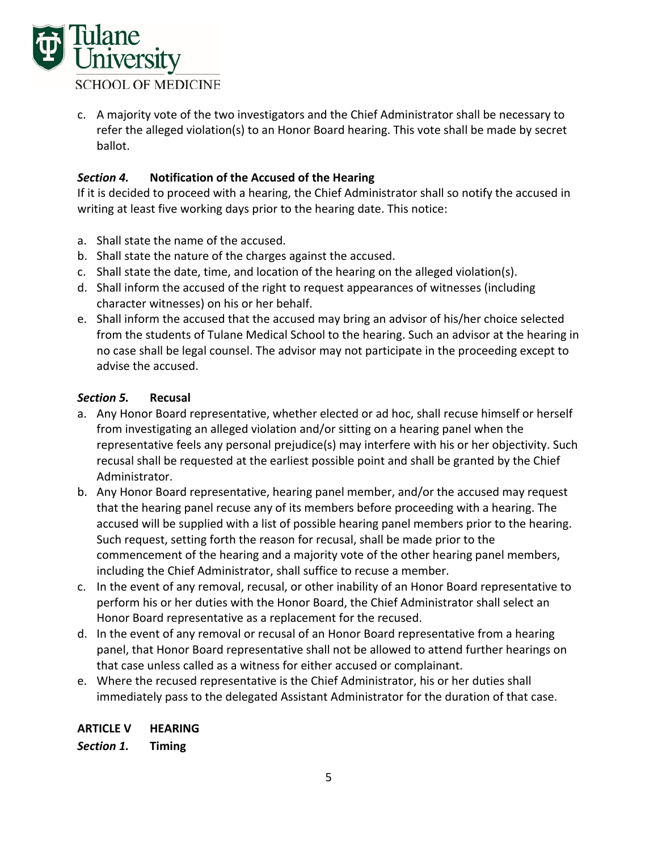

c. A majority vote of the two investigators and the Chief Administrator shall be necessary to refer the alleged violation(s) to an Honor Board hearing. This vote shall be made by secret ballot.

### *Section 4.* **Notification of the Accused of the Hearing**

If it is decided to proceed with a hearing, the Chief Administrator shall so notify the accused in writing at least five working days prior to the hearing date. This notice:

- a. Shall state the name of the accused.
- b. Shall state the nature of the charges against the accused.
- c. Shall state the date, time, and location of the hearing on the alleged violation(s).
- d. Shall inform the accused of the right to request appearances of witnesses (including character witnesses) on his or her behalf.
- e. Shall inform the accused that the accused may bring an advisor of his/her choice selected from the students of Tulane Medical School to the hearing. Such an advisor at the hearing in no case shall be legal counsel. The advisor may not participate in the proceeding except to advise the accused.

### *Section 5.* **Recusal**

- a. Any Honor Board representative, whether elected or ad hoc, shall recuse himself or herself from investigating an alleged violation and/or sitting on a hearing panel when the representative feels any personal prejudice(s) may interfere with his or her objectivity. Such recusal shall be requested at the earliest possible point and shall be granted by the Chief Administrator.
- b. Any Honor Board representative, hearing panel member, and/or the accused may request that the hearing panel recuse any of its members before proceeding with a hearing. The accused will be supplied with a list of possible hearing panel members prior to the hearing. Such request, setting forth the reason for recusal, shall be made prior to the commencement of the hearing and a majority vote of the other hearing panel members, including the Chief Administrator, shall suffice to recuse a member.
- c. In the event of any removal, recusal, or other inability of an Honor Board representative to perform his or her duties with the Honor Board, the Chief Administrator shall select an Honor Board representative as a replacement for the recused.
- d. In the event of any removal or recusal of an Honor Board representative from a hearing panel, that Honor Board representative shall not be allowed to attend further hearings on that case unless called as a witness for either accused or complainant.
- e. Where the recused representative is the Chief Administrator, his or her duties shall immediately pass to the delegated Assistant Administrator for the duration of that case.

### **ARTICLE V HEARING**

*Section 1.* **Timing**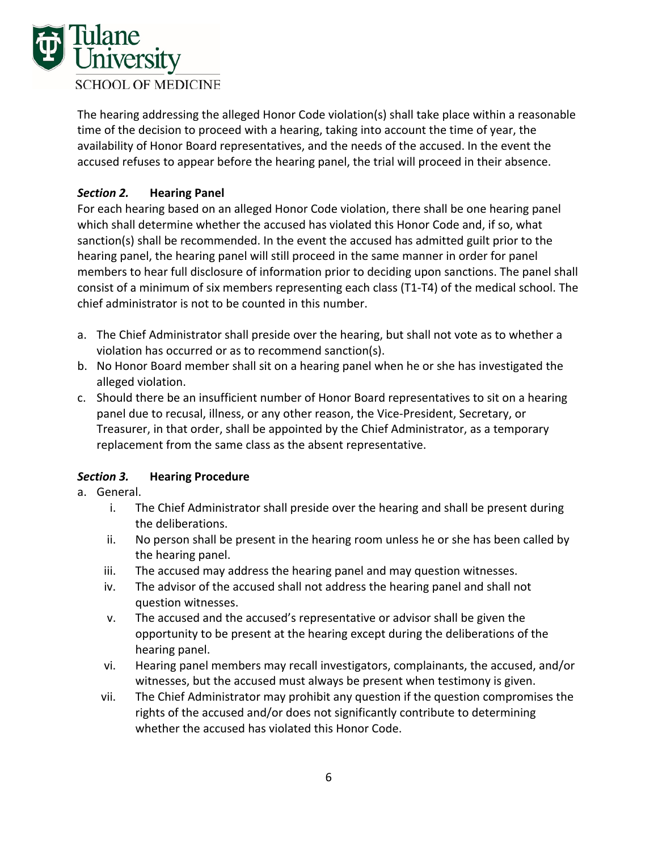

The hearing addressing the alleged Honor Code violation(s) shall take place within a reasonable time of the decision to proceed with a hearing, taking into account the time of year, the availability of Honor Board representatives, and the needs of the accused. In the event the accused refuses to appear before the hearing panel, the trial will proceed in their absence.

### *Section 2.* **Hearing Panel**

For each hearing based on an alleged Honor Code violation, there shall be one hearing panel which shall determine whether the accused has violated this Honor Code and, if so, what sanction(s) shall be recommended. In the event the accused has admitted guilt prior to the hearing panel, the hearing panel will still proceed in the same manner in order for panel members to hear full disclosure of information prior to deciding upon sanctions. The panel shall consist of a minimum of six members representing each class (T1‐T4) of the medical school. The chief administrator is not to be counted in this number.

- a. The Chief Administrator shall preside over the hearing, but shall not vote as to whether a violation has occurred or as to recommend sanction(s).
- b. No Honor Board member shall sit on a hearing panel when he or she has investigated the alleged violation.
- c. Should there be an insufficient number of Honor Board representatives to sit on a hearing panel due to recusal, illness, or any other reason, the Vice‐President, Secretary, or Treasurer, in that order, shall be appointed by the Chief Administrator, as a temporary replacement from the same class as the absent representative.

### *Section 3.* **Hearing Procedure**

- a. General.
	- i. The Chief Administrator shall preside over the hearing and shall be present during the deliberations.
	- ii. No person shall be present in the hearing room unless he or she has been called by the hearing panel.
	- iii. The accused may address the hearing panel and may question witnesses.
	- iv. The advisor of the accused shall not address the hearing panel and shall not question witnesses.
	- v. The accused and the accused's representative or advisor shall be given the opportunity to be present at the hearing except during the deliberations of the hearing panel.
	- vi. Hearing panel members may recall investigators, complainants, the accused, and/or witnesses, but the accused must always be present when testimony is given.
	- vii. The Chief Administrator may prohibit any question if the question compromises the rights of the accused and/or does not significantly contribute to determining whether the accused has violated this Honor Code.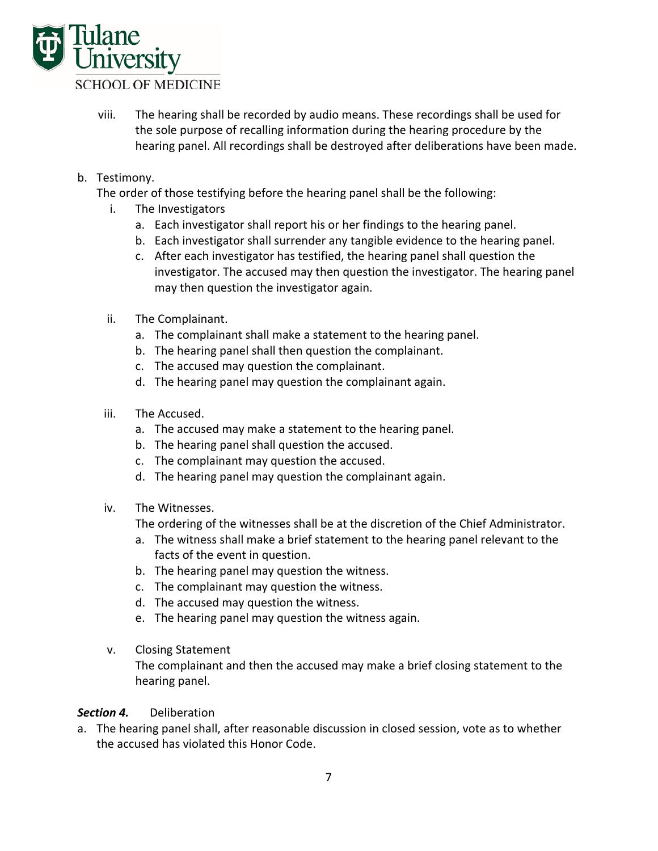

- viii. The hearing shall be recorded by audio means. These recordings shall be used for the sole purpose of recalling information during the hearing procedure by the hearing panel. All recordings shall be destroyed after deliberations have been made.
- b. Testimony.
	- The order of those testifying before the hearing panel shall be the following:
		- i. The Investigators
			- a. Each investigator shall report his or her findings to the hearing panel.
			- b. Each investigator shall surrender any tangible evidence to the hearing panel.
			- c. After each investigator has testified, the hearing panel shall question the investigator. The accused may then question the investigator. The hearing panel may then question the investigator again.
		- ii. The Complainant.
			- a. The complainant shall make a statement to the hearing panel.
			- b. The hearing panel shall then question the complainant.
			- c. The accused may question the complainant.
			- d. The hearing panel may question the complainant again.
		- iii. The Accused.
			- a. The accused may make a statement to the hearing panel.
			- b. The hearing panel shall question the accused.
			- c. The complainant may question the accused.
			- d. The hearing panel may question the complainant again.
		- iv. The Witnesses.

The ordering of the witnesses shall be at the discretion of the Chief Administrator.

- a. The witness shall make a brief statement to the hearing panel relevant to the facts of the event in question.
- b. The hearing panel may question the witness.
- c. The complainant may question the witness.
- d. The accused may question the witness.
- e. The hearing panel may question the witness again.
- v. Closing Statement

The complainant and then the accused may make a brief closing statement to the hearing panel.

#### **Section 4.** Deliberation

a. The hearing panel shall, after reasonable discussion in closed session, vote as to whether the accused has violated this Honor Code.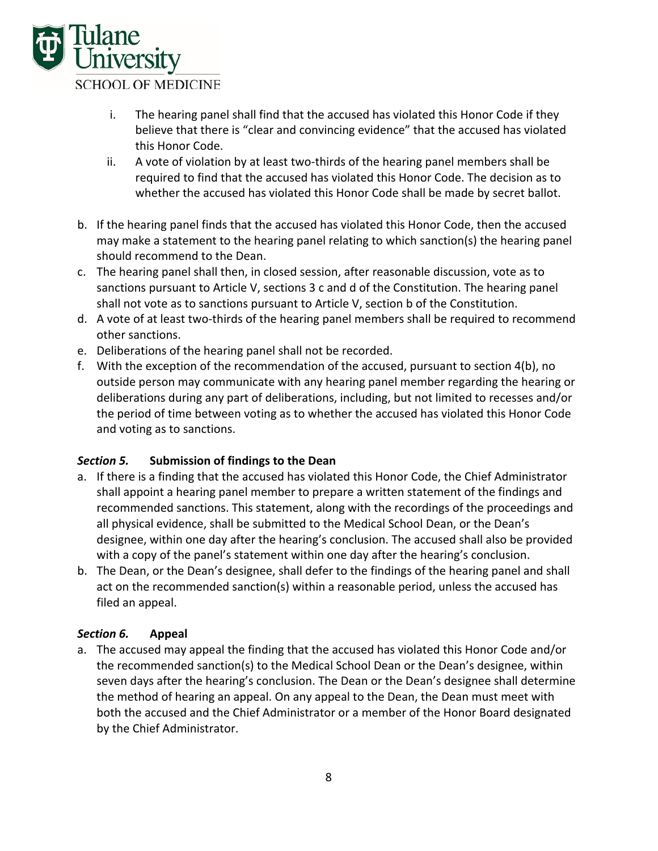

- i. The hearing panel shall find that the accused has violated this Honor Code if they believe that there is "clear and convincing evidence" that the accused has violated this Honor Code.
- ii. A vote of violation by at least two‐thirds of the hearing panel members shall be required to find that the accused has violated this Honor Code. The decision as to whether the accused has violated this Honor Code shall be made by secret ballot.
- b. If the hearing panel finds that the accused has violated this Honor Code, then the accused may make a statement to the hearing panel relating to which sanction(s) the hearing panel should recommend to the Dean.
- c. The hearing panel shall then, in closed session, after reasonable discussion, vote as to sanctions pursuant to Article V, sections 3 c and d of the Constitution. The hearing panel shall not vote as to sanctions pursuant to Article V, section b of the Constitution.
- d. A vote of at least two-thirds of the hearing panel members shall be required to recommend other sanctions.
- e. Deliberations of the hearing panel shall not be recorded.
- f. With the exception of the recommendation of the accused, pursuant to section 4(b), no outside person may communicate with any hearing panel member regarding the hearing or deliberations during any part of deliberations, including, but not limited to recesses and/or the period of time between voting as to whether the accused has violated this Honor Code and voting as to sanctions.

### *Section 5.* **Submission of findings to the Dean**

- a. If there is a finding that the accused has violated this Honor Code, the Chief Administrator shall appoint a hearing panel member to prepare a written statement of the findings and recommended sanctions. This statement, along with the recordings of the proceedings and all physical evidence, shall be submitted to the Medical School Dean, or the Dean's designee, within one day after the hearing's conclusion. The accused shall also be provided with a copy of the panel's statement within one day after the hearing's conclusion.
- b. The Dean, or the Dean's designee, shall defer to the findings of the hearing panel and shall act on the recommended sanction(s) within a reasonable period, unless the accused has filed an appeal.

### *Section 6.* **Appeal**

a. The accused may appeal the finding that the accused has violated this Honor Code and/or the recommended sanction(s) to the Medical School Dean or the Dean's designee, within seven days after the hearing's conclusion. The Dean or the Dean's designee shall determine the method of hearing an appeal. On any appeal to the Dean, the Dean must meet with both the accused and the Chief Administrator or a member of the Honor Board designated by the Chief Administrator.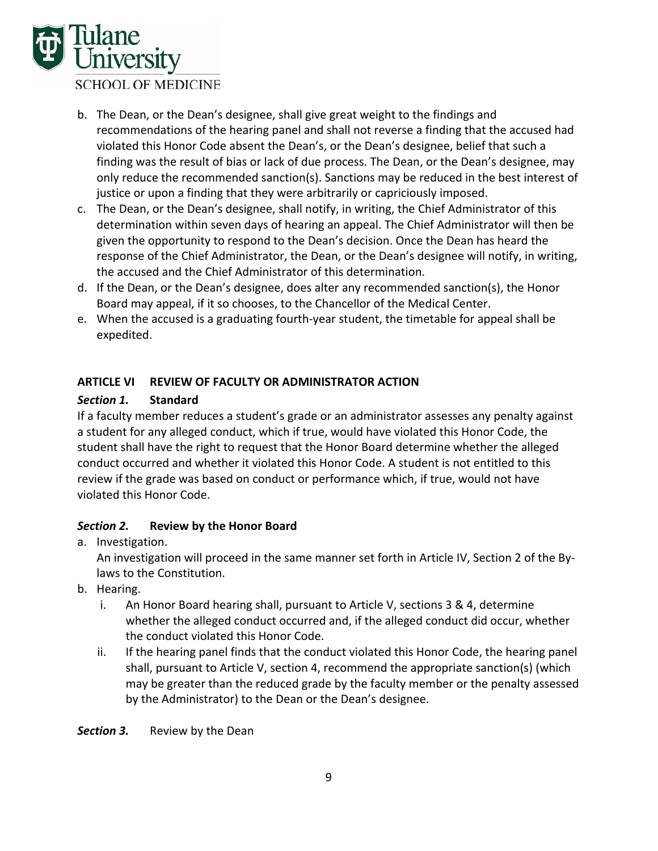

- b. The Dean, or the Dean's designee, shall give great weight to the findings and recommendations of the hearing panel and shall not reverse a finding that the accused had violated this Honor Code absent the Dean's, or the Dean's designee, belief that such a finding was the result of bias or lack of due process. The Dean, or the Dean's designee, may only reduce the recommended sanction(s). Sanctions may be reduced in the best interest of justice or upon a finding that they were arbitrarily or capriciously imposed.
- c. The Dean, or the Dean's designee, shall notify, in writing, the Chief Administrator of this determination within seven days of hearing an appeal. The Chief Administrator will then be given the opportunity to respond to the Dean's decision. Once the Dean has heard the response of the Chief Administrator, the Dean, or the Dean's designee will notify, in writing, the accused and the Chief Administrator of this determination.
- d. If the Dean, or the Dean's designee, does alter any recommended sanction(s), the Honor Board may appeal, if it so chooses, to the Chancellor of the Medical Center.
- e. When the accused is a graduating fourth‐year student, the timetable for appeal shall be expedited.

### **ARTICLE VI REVIEW OF FACULTY OR ADMINISTRATOR ACTION**

#### *Section 1.* **Standard**

If a faculty member reduces a student's grade or an administrator assesses any penalty against a student for any alleged conduct, which if true, would have violated this Honor Code, the student shall have the right to request that the Honor Board determine whether the alleged conduct occurred and whether it violated this Honor Code. A student is not entitled to this review if the grade was based on conduct or performance which, if true, would not have violated this Honor Code.

### *Section 2.* **Review by the Honor Board**

a. Investigation.

An investigation will proceed in the same manner set forth in Article IV, Section 2 of the By‐ laws to the Constitution.

- b. Hearing.
	- i. An Honor Board hearing shall, pursuant to Article V, sections 3 & 4, determine whether the alleged conduct occurred and, if the alleged conduct did occur, whether the conduct violated this Honor Code.
	- ii. If the hearing panel finds that the conduct violated this Honor Code, the hearing panel shall, pursuant to Article V, section 4, recommend the appropriate sanction(s) (which may be greater than the reduced grade by the faculty member or the penalty assessed by the Administrator) to the Dean or the Dean's designee.

**Section 3.** Review by the Dean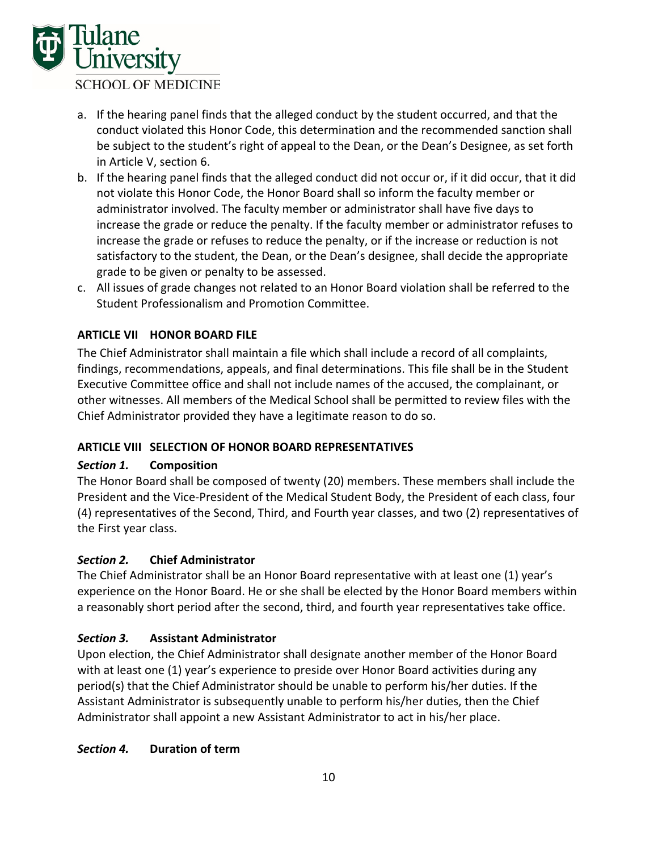

- a. If the hearing panel finds that the alleged conduct by the student occurred, and that the conduct violated this Honor Code, this determination and the recommended sanction shall be subject to the student's right of appeal to the Dean, or the Dean's Designee, as set forth in Article V, section 6.
- b. If the hearing panel finds that the alleged conduct did not occur or, if it did occur, that it did not violate this Honor Code, the Honor Board shall so inform the faculty member or administrator involved. The faculty member or administrator shall have five days to increase the grade or reduce the penalty. If the faculty member or administrator refuses to increase the grade or refuses to reduce the penalty, or if the increase or reduction is not satisfactory to the student, the Dean, or the Dean's designee, shall decide the appropriate grade to be given or penalty to be assessed.
- c. All issues of grade changes not related to an Honor Board violation shall be referred to the Student Professionalism and Promotion Committee.

### **ARTICLE VII HONOR BOARD FILE**

The Chief Administrator shall maintain a file which shall include a record of all complaints, findings, recommendations, appeals, and final determinations. This file shall be in the Student Executive Committee office and shall not include names of the accused, the complainant, or other witnesses. All members of the Medical School shall be permitted to review files with the Chief Administrator provided they have a legitimate reason to do so.

#### **ARTICLE VIII SELECTION OF HONOR BOARD REPRESENTATIVES**

#### *Section 1.* **Composition**

The Honor Board shall be composed of twenty (20) members. These members shall include the President and the Vice‐President of the Medical Student Body, the President of each class, four (4) representatives of the Second, Third, and Fourth year classes, and two (2) representatives of the First year class.

#### *Section 2.* **Chief Administrator**

The Chief Administrator shall be an Honor Board representative with at least one (1) year's experience on the Honor Board. He or she shall be elected by the Honor Board members within a reasonably short period after the second, third, and fourth year representatives take office.

#### *Section 3.* **Assistant Administrator**

Upon election, the Chief Administrator shall designate another member of the Honor Board with at least one (1) year's experience to preside over Honor Board activities during any period(s) that the Chief Administrator should be unable to perform his/her duties. If the Assistant Administrator is subsequently unable to perform his/her duties, then the Chief Administrator shall appoint a new Assistant Administrator to act in his/her place.

#### *Section 4.* **Duration of term**